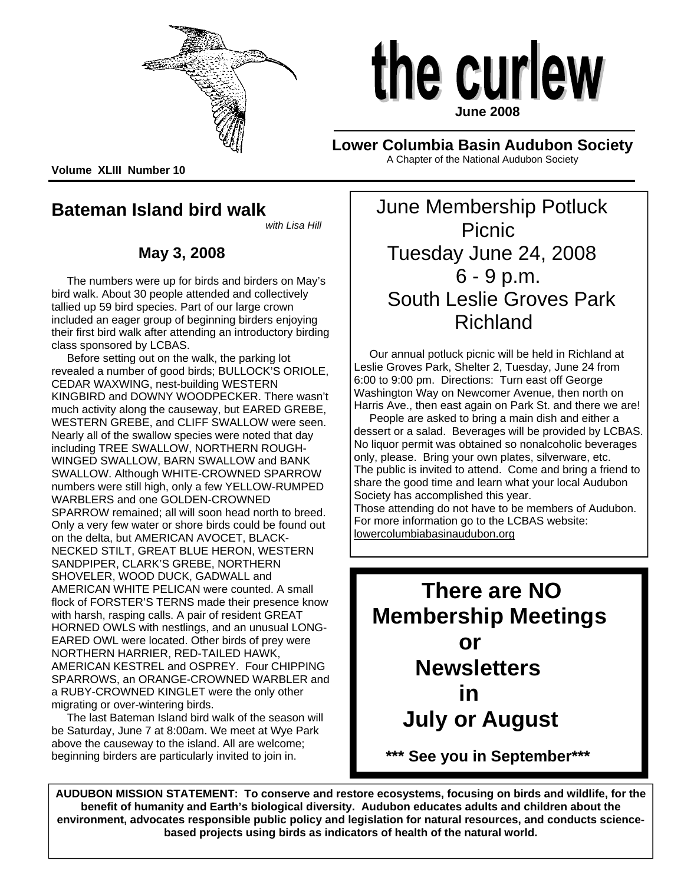



**Lower Columbia Basin Audubon Society**  A Chapter of the National Audubon Society

**Volume XLIII Number 10** 

# **Bateman Island bird walk**

*with Lisa Hill*

# **May 3, 2008**

 The numbers were up for birds and birders on May's bird walk. About 30 people attended and collectively tallied up 59 bird species. Part of our large crown included an eager group of beginning birders enjoying their first bird walk after attending an introductory birding class sponsored by LCBAS.

 Before setting out on the walk, the parking lot revealed a number of good birds; BULLOCK'S ORIOLE, CEDAR WAXWING, nest-building WESTERN KINGBIRD and DOWNY WOODPECKER. There wasn't much activity along the causeway, but EARED GREBE, WESTERN GREBE, and CLIFF SWALLOW were seen. Nearly all of the swallow species were noted that day including TREE SWALLOW, NORTHERN ROUGH-WINGED SWALLOW, BARN SWALLOW and BANK SWALLOW. Although WHITE-CROWNED SPARROW numbers were still high, only a few YELLOW-RUMPED WARBLERS and one GOLDEN-CROWNED SPARROW remained; all will soon head north to breed. Only a very few water or shore birds could be found out on the delta, but AMERICAN AVOCET, BLACK-NECKED STILT, GREAT BLUE HERON, WESTERN SANDPIPER, CLARK'S GREBE, NORTHERN SHOVELER, WOOD DUCK, GADWALL and AMERICAN WHITE PELICAN were counted. A small flock of FORSTER'S TERNS made their presence know with harsh, rasping calls. A pair of resident GREAT HORNED OWLS with nestlings, and an unusual LONG-EARED OWL were located. Other birds of prey were NORTHERN HARRIER, RED-TAILED HAWK, AMERICAN KESTREL and OSPREY. Four CHIPPING SPARROWS, an ORANGE-CROWNED WARBLER and a RUBY-CROWNED KINGLET were the only other migrating or over-wintering birds.

 The last Bateman Island bird walk of the season will be Saturday, June 7 at 8:00am. We meet at Wye Park above the causeway to the island. All are welcome; beginning birders are particularly invited to join in.

 June Membership Potluck Picnic Tuesday June 24, 2008 6 - 9 p.m. South Leslie Groves Park Richland

 Our annual potluck picnic will be held in Richland at Leslie Groves Park, Shelter 2, Tuesday, June 24 from 6:00 to 9:00 pm. Directions: Turn east off George Washington Way on Newcomer Avenue, then north on Harris Ave., then east again on Park St. and there we are!

 People are asked to bring a main dish and either a dessert or a salad. Beverages will be provided by LCBAS. No liquor permit was obtained so nonalcoholic beverages only, please. Bring your own plates, silverware, etc. The public is invited to attend. Come and bring a friend to share the good time and learn what your local Audubon Society has accomplished this year.

Those attending do not have to be members of Audubon. For more information go to the LCBAS website: lowercolumbiabasinaudubon.org



**AUDUBON MISSION STATEMENT: To conserve and restore ecosystems, focusing on birds and wildlife, for the benefit of humanity and Earth's biological diversity. Audubon educates adults and children about the environment, advocates responsible public policy and legislation for natural resources, and conducts sciencebased projects using birds as indicators of health of the natural world.** 

 $\overline{a}$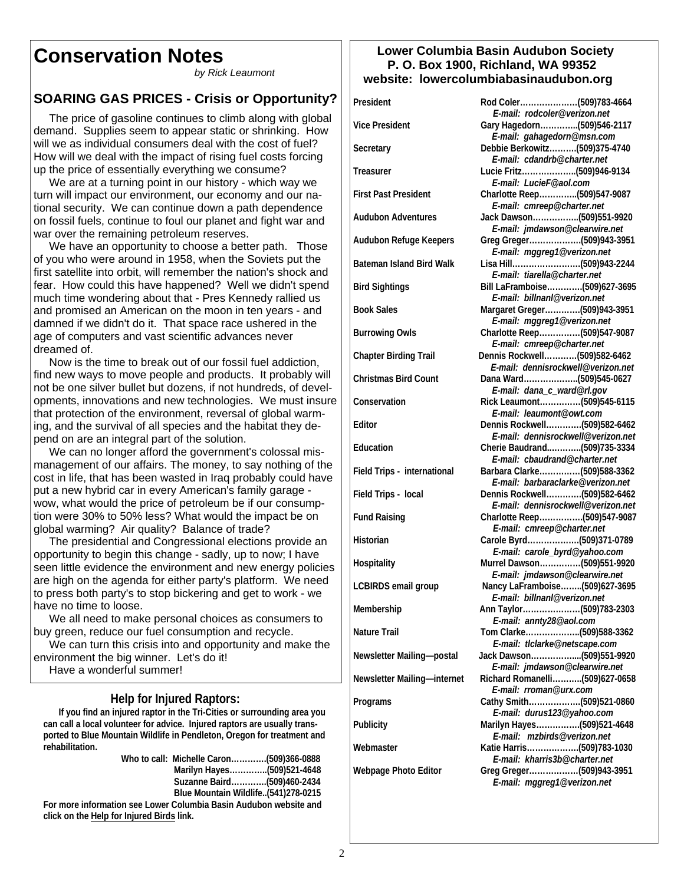# **Conservation Notes**

*by Rick Leaumont* 

# **SOARING GAS PRICES - Crisis or Opportunity?**

 The price of gasoline continues to climb along with global demand. Supplies seem to appear static or shrinking. How will we as individual consumers deal with the cost of fuel? How will we deal with the impact of rising fuel costs forcing up the price of essentially everything we consume?

 We are at a turning point in our history - which way we turn will impact our environment, our economy and our national security. We can continue down a path dependence on fossil fuels, continue to foul our planet and fight war and war over the remaining petroleum reserves.

 We have an opportunity to choose a better path. Those of you who were around in 1958, when the Soviets put the first satellite into orbit, will remember the nation's shock and fear. How could this have happened? Well we didn't spend much time wondering about that - Pres Kennedy rallied us and promised an American on the moon in ten years - and damned if we didn't do it. That space race ushered in the age of computers and vast scientific advances never dreamed of.

 Now is the time to break out of our fossil fuel addiction, find new ways to move people and products. It probably will not be one silver bullet but dozens, if not hundreds, of developments, innovations and new technologies. We must insure that protection of the environment, reversal of global warming, and the survival of all species and the habitat they depend on are an integral part of the solution.

 We can no longer afford the government's colossal mismanagement of our affairs. The money, to say nothing of the cost in life, that has been wasted in Iraq probably could have put a new hybrid car in every American's family garage wow, what would the price of petroleum be if our consumption were 30% to 50% less? What would the impact be on global warming? Air quality? Balance of trade?

 The presidential and Congressional elections provide an opportunity to begin this change - sadly, up to now; I have seen little evidence the environment and new energy policies are high on the agenda for either party's platform. We need to press both party's to stop bickering and get to work - we have no time to loose.

 We all need to make personal choices as consumers to buy green, reduce our fuel consumption and recycle.

 We can turn this crisis into and opportunity and make the environment the big winner. Let's do it!

Have a wonderful summer!

 **Help for Injured Raptors: If you find an injured raptor in the Tri-Cities or surrounding area you can call a local volunteer for advice. Injured raptors are usually transported to Blue Mountain Wildlife in Pendleton, Oregon for treatment and rehabilitation.** 

|                                                                   | Who to call: Michelle Caron(509)366-0888 |  |
|-------------------------------------------------------------------|------------------------------------------|--|
|                                                                   |                                          |  |
|                                                                   | Suzanne Baird(509)460-2434               |  |
|                                                                   | Blue Mountain Wildlife(541)278-0215      |  |
| For more information see Lower Columbia Basin Audubon website and |                                          |  |

**For more information click on the Help for Injured Birds link.**

#### **Lower Columbia Basin Audubon Society P. O. Box 1900, Richland, WA 99352 website: lowercolumbiabasinaudubon.org**

| President                       |                                                                                                |
|---------------------------------|------------------------------------------------------------------------------------------------|
| <b>Vice President</b>           | E-mail: rodcoler@verizon.net<br>Gary Hagedorn(509)546-2117                                     |
| Secretary                       | E-mail: gahagedorn@msn.com<br>Debbie Berkowitz(509)375-4740<br>E-mail: cdandrb@charter.net     |
| Treasurer                       | Lucie Fritz(509)946-9134<br>E-mail: LucieF@aol.com                                             |
| <b>First Past President</b>     | Charlotte Reep(509)547-9087<br>E-mail: cmreep@charter.net                                      |
| <b>Audubon Adventures</b>       | Jack Dawson(509)551-9920<br>E-mail: jmdawson@clearwire.net                                     |
| Audubon Refuge Keepers          | Greg Greger(509)943-3951<br>E-mail: mggreg1@verizon.net                                        |
| <b>Bateman Island Bird Walk</b> | E-mail: tiarella@charter.net                                                                   |
| <b>Bird Sightings</b>           | Bill LaFramboise(509)627-3695<br>E-mail: billnanl@verizon.net                                  |
| <b>Book Sales</b>               | Margaret Greger(509)943-3951<br>E-mail: mggreg1@verizon.net                                    |
| <b>Burrowing Owls</b>           | Charlotte Reep(509)547-9087<br>E-mail: cmreep@charter.net                                      |
| <b>Chapter Birding Trail</b>    | Dennis Rockwell(509)582-6462<br>E-mail: dennisrockwell@verizon.net                             |
| <b>Christmas Bird Count</b>     | Dana Ward(509)545-0627                                                                         |
| Conservation                    | E-mail: dana_c_ward@rl.gov<br>Rick Leaumont(509)545-6115                                       |
| Editor                          | E-mail: leaumont@owt.com<br>Dennis Rockwell(509)582-6462<br>E-mail: dennisrockwell@verizon.net |
| Education                       | Cherie Baudrand(509)735-3334<br>E-mail: cbaudrand@charter.net                                  |
| Field Trips - international     | Barbara Clarke(509)588-3362<br>E-mail: barbaraclarke@verizon.net                               |
| Field Trips - local             | Dennis Rockwell(509)582-6462<br>E-mail: dennisrockwell@verizon.net                             |
| <b>Fund Raising</b>             | Charlotte Reep(509)547-9087<br>E-mail: cmreep@charter.net                                      |
| Historian                       | Carole Byrd(509)371-0789<br>E-mail: carole_byrd@yahoo.com                                      |
| Hospitality                     | Murrel Dawson(509)551-9920<br>E-mail: jmdawson@clearwire.net                                   |
| <b>LCBIRDS</b> email group      | Nancy LaFramboise(509)627-3695<br>E-mail: billnanl@verizon.net                                 |
| Membership                      | Ann Taylor(509)783-2303                                                                        |
| <b>Nature Trail</b>             | E-mail: annty28@aol.com<br>Tom Clarke(509)588-3362<br>E-mail: tlclarke@netscape.com            |
| Newsletter Mailing-postal       | Jack Dawson(509)551-9920<br>E-mail: jmdawson@clearwire.net                                     |
| Newsletter Mailing-internet     | Richard Romanelli(509)627-0658<br>E-mail: rroman@urx.com                                       |
| Programs                        | Cathy Smith(509)521-0860<br>E-mail: durus123@yahoo.com                                         |
| Publicity                       | Marilyn Hayes(509)521-4648<br>E-mail: mzbirds@verizon.net                                      |
| Webmaster                       | Katie Harris(509)783-1030<br>E-mail: kharris3b@charter.net                                     |
| Webpage Photo Editor            | Greg Greger(509)943-3951<br>E-mail: mggreg1@verizon.net                                        |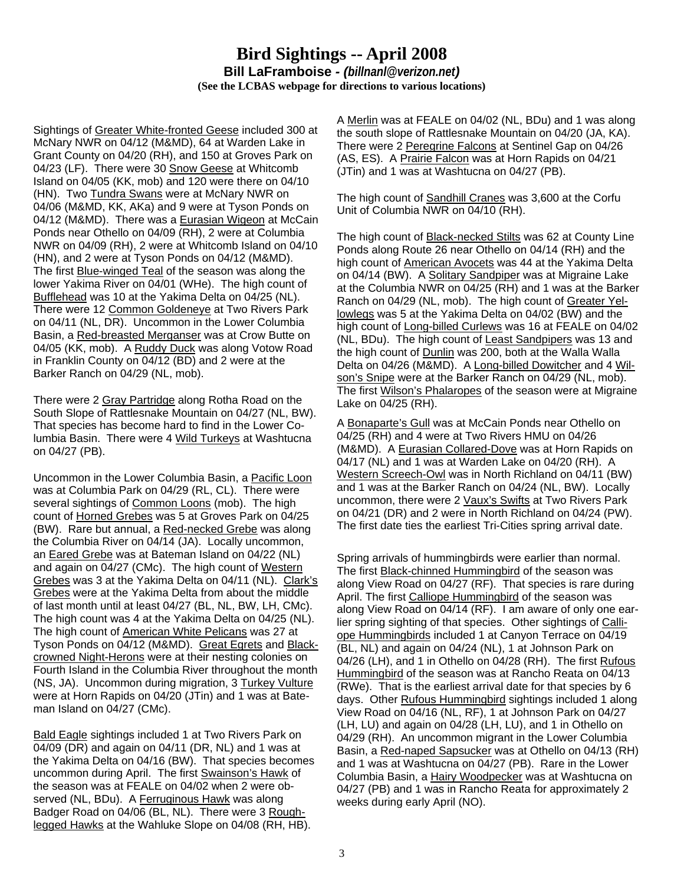## **Bird Sightings -- April 2008 Bill LaFramboise** *- (billnanl@verizon.net)*  **(See the LCBAS webpage for directions to various locations)**

Sightings of Greater White-fronted Geese included 300 at McNary NWR on 04/12 (M&MD), 64 at Warden Lake in Grant County on 04/20 (RH), and 150 at Groves Park on 04/23 (LF). There were 30 Snow Geese at Whitcomb Island on 04/05 (KK, mob) and 120 were there on 04/10 (HN). Two Tundra Swans were at McNary NWR on 04/06 (M&MD, KK, AKa) and 9 were at Tyson Ponds on 04/12 (M&MD). There was a Eurasian Wigeon at McCain Ponds near Othello on 04/09 (RH), 2 were at Columbia NWR on 04/09 (RH), 2 were at Whitcomb Island on 04/10 (HN), and 2 were at Tyson Ponds on 04/12 (M&MD). The first Blue-winged Teal of the season was along the lower Yakima River on 04/01 (WHe). The high count of Bufflehead was 10 at the Yakima Delta on 04/25 (NL). There were 12 Common Goldeneye at Two Rivers Park on 04/11 (NL, DR). Uncommon in the Lower Columbia Basin, a Red-breasted Merganser was at Crow Butte on 04/05 (KK, mob). A Ruddy Duck was along Votow Road in Franklin County on 04/12 (BD) and 2 were at the Barker Ranch on 04/29 (NL, mob).

There were 2 Gray Partridge along Rotha Road on the South Slope of Rattlesnake Mountain on 04/27 (NL, BW). That species has become hard to find in the Lower Columbia Basin. There were 4 Wild Turkeys at Washtucna on 04/27 (PB).

Uncommon in the Lower Columbia Basin, a Pacific Loon was at Columbia Park on 04/29 (RL, CL). There were several sightings of Common Loons (mob). The high count of Horned Grebes was 5 at Groves Park on 04/25 (BW). Rare but annual, a Red-necked Grebe was along the Columbia River on 04/14 (JA). Locally uncommon, an Eared Grebe was at Bateman Island on 04/22 (NL) and again on 04/27 (CMc). The high count of Western Grebes was 3 at the Yakima Delta on 04/11 (NL). Clark's Grebes were at the Yakima Delta from about the middle of last month until at least 04/27 (BL, NL, BW, LH, CMc). The high count was 4 at the Yakima Delta on 04/25 (NL). The high count of American White Pelicans was 27 at Tyson Ponds on 04/12 (M&MD). Great Egrets and Blackcrowned Night-Herons were at their nesting colonies on Fourth Island in the Columbia River throughout the month (NS, JA). Uncommon during migration, 3 Turkey Vulture were at Horn Rapids on 04/20 (JTin) and 1 was at Bateman Island on 04/27 (CMc).

Bald Eagle sightings included 1 at Two Rivers Park on 04/09 (DR) and again on 04/11 (DR, NL) and 1 was at the Yakima Delta on 04/16 (BW). That species becomes uncommon during April. The first Swainson's Hawk of the season was at FEALE on 04/02 when 2 were observed (NL, BDu). A Ferruginous Hawk was along Badger Road on 04/06 (BL, NL). There were 3 Roughlegged Hawks at the Wahluke Slope on 04/08 (RH, HB).

A Merlin was at FEALE on 04/02 (NL, BDu) and 1 was along the south slope of Rattlesnake Mountain on 04/20 (JA, KA). There were 2 Peregrine Falcons at Sentinel Gap on 04/26 (AS, ES). A Prairie Falcon was at Horn Rapids on 04/21 (JTin) and 1 was at Washtucna on 04/27 (PB).

The high count of Sandhill Cranes was 3,600 at the Corfu Unit of Columbia NWR on 04/10 (RH).

The high count of Black-necked Stilts was 62 at County Line Ponds along Route 26 near Othello on 04/14 (RH) and the high count of American Avocets was 44 at the Yakima Delta on 04/14 (BW). A Solitary Sandpiper was at Migraine Lake at the Columbia NWR on 04/25 (RH) and 1 was at the Barker Ranch on 04/29 (NL, mob). The high count of Greater Yellowlegs was 5 at the Yakima Delta on 04/02 (BW) and the high count of Long-billed Curlews was 16 at FEALE on 04/02 (NL, BDu). The high count of Least Sandpipers was 13 and the high count of Dunlin was 200, both at the Walla Walla Delta on 04/26 (M&MD). A Long-billed Dowitcher and 4 Wilson's Snipe were at the Barker Ranch on 04/29 (NL, mob). The first Wilson's Phalaropes of the season were at Migraine Lake on 04/25 (RH).

A Bonaparte's Gull was at McCain Ponds near Othello on 04/25 (RH) and 4 were at Two Rivers HMU on 04/26 (M&MD). A Eurasian Collared-Dove was at Horn Rapids on 04/17 (NL) and 1 was at Warden Lake on 04/20 (RH). A Western Screech-Owl was in North Richland on 04/11 (BW) and 1 was at the Barker Ranch on 04/24 (NL, BW). Locally uncommon, there were 2 Vaux's Swifts at Two Rivers Park on 04/21 (DR) and 2 were in North Richland on 04/24 (PW). The first date ties the earliest Tri-Cities spring arrival date.

Spring arrivals of hummingbirds were earlier than normal. The first **Black-chinned Hummingbird** of the season was along View Road on 04/27 (RF). That species is rare during April. The first Calliope Hummingbird of the season was along View Road on 04/14 (RF). I am aware of only one earlier spring sighting of that species. Other sightings of Calliope Hummingbirds included 1 at Canyon Terrace on 04/19 (BL, NL) and again on 04/24 (NL), 1 at Johnson Park on 04/26 (LH), and 1 in Othello on 04/28 (RH). The first Rufous Hummingbird of the season was at Rancho Reata on 04/13 (RWe). That is the earliest arrival date for that species by 6 days. Other Rufous Hummingbird sightings included 1 along View Road on 04/16 (NL, RF), 1 at Johnson Park on 04/27 (LH, LU) and again on 04/28 (LH, LU), and 1 in Othello on 04/29 (RH). An uncommon migrant in the Lower Columbia Basin, a Red-naped Sapsucker was at Othello on 04/13 (RH) and 1 was at Washtucna on 04/27 (PB). Rare in the Lower Columbia Basin, a Hairy Woodpecker was at Washtucna on 04/27 (PB) and 1 was in Rancho Reata for approximately 2 weeks during early April (NO).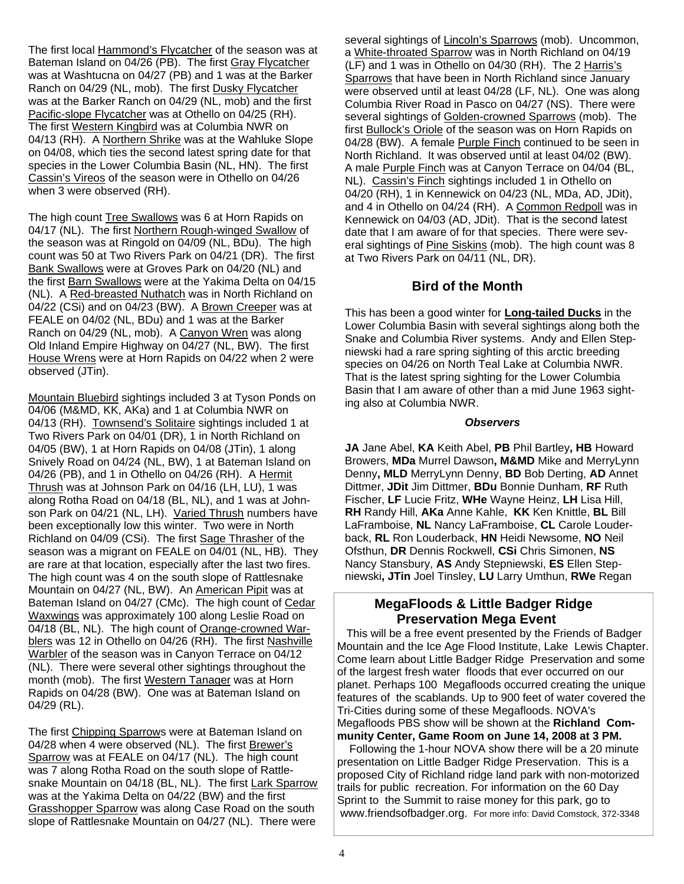4

The first local Hammond's Flycatcher of the season was at Bateman Island on 04/26 (PB). The first Gray Flycatcher was at Washtucna on 04/27 (PB) and 1 was at the Barker Ranch on 04/29 (NL, mob). The first Dusky Flycatcher was at the Barker Ranch on 04/29 (NL, mob) and the first Pacific-slope Flycatcher was at Othello on 04/25 (RH). The first Western Kingbird was at Columbia NWR on 04/13 (RH). A Northern Shrike was at the Wahluke Slope on 04/08, which ties the second latest spring date for that species in the Lower Columbia Basin (NL, HN). The first Cassin's Vireos of the season were in Othello on 04/26 when 3 were observed (RH).

The high count Tree Swallows was 6 at Horn Rapids on 04/17 (NL). The first Northern Rough-winged Swallow of the season was at Ringold on 04/09 (NL, BDu). The high count was 50 at Two Rivers Park on 04/21 (DR). The first Bank Swallows were at Groves Park on 04/20 (NL) and the first Barn Swallows were at the Yakima Delta on 04/15 (NL). A Red-breasted Nuthatch was in North Richland on 04/22 (CSi) and on 04/23 (BW). A Brown Creeper was at FEALE on 04/02 (NL, BDu) and 1 was at the Barker Ranch on 04/29 (NL, mob). A Canyon Wren was along Old Inland Empire Highway on 04/27 (NL, BW). The first House Wrens were at Horn Rapids on 04/22 when 2 were observed (JTin).

Mountain Bluebird sightings included 3 at Tyson Ponds on 04/06 (M&MD, KK, AKa) and 1 at Columbia NWR on 04/13 (RH). Townsend's Solitaire sightings included 1 at Two Rivers Park on 04/01 (DR), 1 in North Richland on 04/05 (BW), 1 at Horn Rapids on 04/08 (JTin), 1 along Snively Road on 04/24 (NL, BW), 1 at Bateman Island on 04/26 (PB), and 1 in Othello on 04/26 (RH). A Hermit Thrush was at Johnson Park on 04/16 (LH, LU), 1 was along Rotha Road on 04/18 (BL, NL), and 1 was at Johnson Park on 04/21 (NL, LH). Varied Thrush numbers have been exceptionally low this winter. Two were in North Richland on 04/09 (CSi). The first Sage Thrasher of the season was a migrant on FEALE on 04/01 (NL, HB). They are rare at that location, especially after the last two fires. The high count was 4 on the south slope of Rattlesnake Mountain on 04/27 (NL, BW). An American Pipit was at Bateman Island on 04/27 (CMc). The high count of Cedar Waxwings was approximately 100 along Leslie Road on 04/18 (BL, NL). The high count of Orange-crowned Warblers was 12 in Othello on 04/26 (RH). The first Nashville Warbler of the season was in Canyon Terrace on 04/12 (NL). There were several other sightings throughout the month (mob). The first Western Tanager was at Horn Rapids on 04/28 (BW). One was at Bateman Island on 04/29 (RL).

The first Chipping Sparrows were at Bateman Island on 04/28 when 4 were observed (NL). The first Brewer's Sparrow was at FEALE on 04/17 (NL). The high count was 7 along Rotha Road on the south slope of Rattlesnake Mountain on 04/18 (BL, NL). The first Lark Sparrow was at the Yakima Delta on 04/22 (BW) and the first Grasshopper Sparrow was along Case Road on the south slope of Rattlesnake Mountain on 04/27 (NL). There were

several sightings of Lincoln's Sparrows (mob). Uncommon, a White-throated Sparrow was in North Richland on 04/19 (LF) and 1 was in Othello on 04/30 (RH). The 2 Harris's Sparrows that have been in North Richland since January were observed until at least 04/28 (LF, NL). One was along Columbia River Road in Pasco on 04/27 (NS). There were several sightings of Golden-crowned Sparrows (mob). The first Bullock's Oriole of the season was on Horn Rapids on 04/28 (BW). A female Purple Finch continued to be seen in North Richland. It was observed until at least 04/02 (BW). A male Purple Finch was at Canyon Terrace on 04/04 (BL, NL). Cassin's Finch sightings included 1 in Othello on 04/20 (RH), 1 in Kennewick on 04/23 (NL, MDa, AD, JDit), and 4 in Othello on 04/24 (RH). A Common Redpoll was in Kennewick on 04/03 (AD, JDit). That is the second latest date that I am aware of for that species. There were several sightings of Pine Siskins (mob). The high count was 8 at Two Rivers Park on 04/11 (NL, DR).

#### **Bird of the Month**

This has been a good winter for **Long-tailed Ducks** in the Lower Columbia Basin with several sightings along both the Snake and Columbia River systems. Andy and Ellen Stepniewski had a rare spring sighting of this arctic breeding species on 04/26 on North Teal Lake at Columbia NWR. That is the latest spring sighting for the Lower Columbia Basin that I am aware of other than a mid June 1963 sighting also at Columbia NWR.

#### *Observers*

**JA** Jane Abel, **KA** Keith Abel, **PB** Phil Bartley**, HB** Howard Browers, **MDa** Murrel Dawson**, M&MD** Mike and MerryLynn Denny**, MLD** MerryLynn Denny, **BD** Bob Derting, **AD** Annet Dittmer, **JDit** Jim Dittmer, **BDu** Bonnie Dunham, **RF** Ruth Fischer, **LF** Lucie Fritz, **WHe** Wayne Heinz, **LH** Lisa Hill, **RH** Randy Hill, **AKa** Anne Kahle, **KK** Ken Knittle, **BL** Bill LaFramboise, **NL** Nancy LaFramboise, **CL** Carole Louderback, **RL** Ron Louderback, **HN** Heidi Newsome, **NO** Neil Ofsthun, **DR** Dennis Rockwell, **CSi** Chris Simonen, **NS**  Nancy Stansbury, **AS** Andy Stepniewski, **ES** Ellen Stepniewski**, JTin** Joel Tinsley, **LU** Larry Umthun, **RWe** Regan

### **MegaFloods & Little Badger Ridge Preservation Mega Event**

 This will be a free event presented by the Friends of Badger Mountain and the Ice Age Flood Institute, Lake Lewis Chapter. Come learn about Little Badger Ridge Preservation and some of the largest fresh water floods that ever occurred on our planet. Perhaps 100 Megafloods occurred creating the unique features of the scablands. Up to 900 feet of water covered the Tri-Cities during some of these Megafloods. NOVA's Megafloods PBS show will be shown at the **Richland Community Center, Game Room on June 14, 2008 at 3 PM.** 

 Following the 1-hour NOVA show there will be a 20 minute presentation on Little Badger Ridge Preservation. This is a proposed City of Richland ridge land park with non-motorized trails for public recreation. For information on the 60 Day Sprint to the Summit to raise money for this park, go to www.friendsofbadger.org. For more info: David Comstock, 372-3348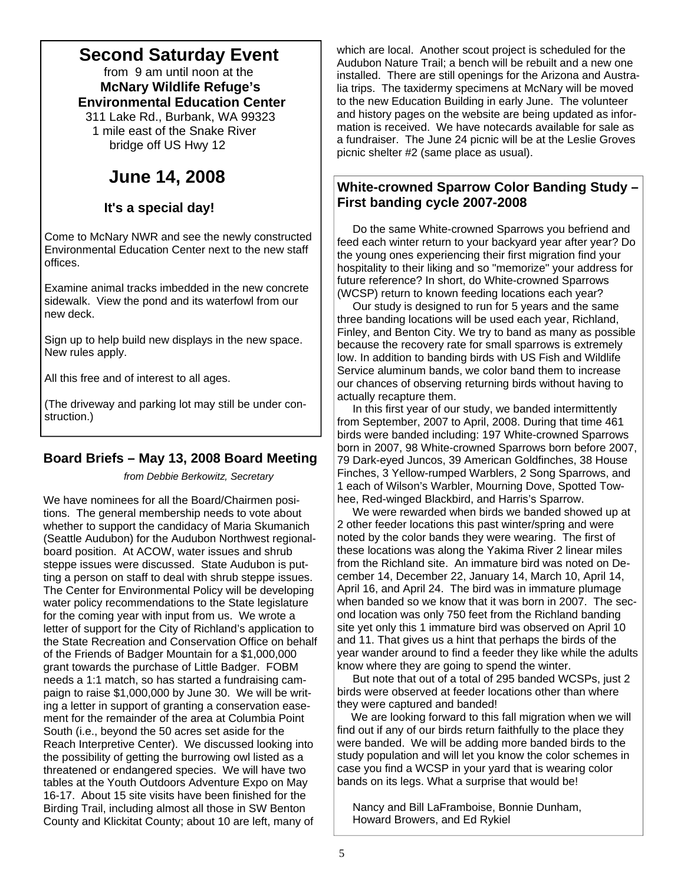# **Second Saturday Event**

 from 9 am until noon at the  **McNary Wildlife Refuge's Environmental Education Center**

 311 Lake Rd., Burbank, WA 99323 1 mile east of the Snake River bridge off US Hwy 12

# **June 14, 2008**

## **It's a special day!**

Come to McNary NWR and see the newly constructed Environmental Education Center next to the new staff offices.

Examine animal tracks imbedded in the new concrete sidewalk. View the pond and its waterfowl from our new deck.

Sign up to help build new displays in the new space. New rules apply.

All this free and of interest to all ages.

(The driveway and parking lot may still be under construction.)

## **Board Briefs – May 13, 2008 Board Meeting**

*from Debbie Berkowitz, Secretary* 

We have nominees for all the Board/Chairmen positions. The general membership needs to vote about whether to support the candidacy of Maria Skumanich (Seattle Audubon) for the Audubon Northwest regionalboard position. At ACOW, water issues and shrub steppe issues were discussed. State Audubon is putting a person on staff to deal with shrub steppe issues. The Center for Environmental Policy will be developing water policy recommendations to the State legislature for the coming year with input from us. We wrote a letter of support for the City of Richland's application to the State Recreation and Conservation Office on behalf of the Friends of Badger Mountain for a \$1,000,000 grant towards the purchase of Little Badger. FOBM needs a 1:1 match, so has started a fundraising campaign to raise \$1,000,000 by June 30. We will be writing a letter in support of granting a conservation easement for the remainder of the area at Columbia Point South (i.e., beyond the 50 acres set aside for the Reach Interpretive Center). We discussed looking into the possibility of getting the burrowing owl listed as a threatened or endangered species. We will have two tables at the Youth Outdoors Adventure Expo on May 16-17. About 15 site visits have been finished for the Birding Trail, including almost all those in SW Benton County and Klickitat County; about 10 are left, many of

which are local. Another scout project is scheduled for the Audubon Nature Trail; a bench will be rebuilt and a new one installed. There are still openings for the Arizona and Australia trips. The taxidermy specimens at McNary will be moved to the new Education Building in early June. The volunteer and history pages on the website are being updated as information is received. We have notecards available for sale as a fundraiser. The June 24 picnic will be at the Leslie Groves picnic shelter #2 (same place as usual).

## **White-crowned Sparrow Color Banding Study – First banding cycle 2007-2008**

 Do the same White-crowned Sparrows you befriend and feed each winter return to your backyard year after year? Do the young ones experiencing their first migration find your hospitality to their liking and so "memorize" your address for future reference? In short, do White-crowned Sparrows (WCSP) return to known feeding locations each year?

 Our study is designed to run for 5 years and the same three banding locations will be used each year, Richland, Finley, and Benton City. We try to band as many as possible because the recovery rate for small sparrows is extremely low. In addition to banding birds with US Fish and Wildlife Service aluminum bands, we color band them to increase our chances of observing returning birds without having to actually recapture them.

 In this first year of our study, we banded intermittently from September, 2007 to April, 2008. During that time 461 birds were banded including: 197 White-crowned Sparrows born in 2007, 98 White-crowned Sparrows born before 2007, 79 Dark-eyed Juncos, 39 American Goldfinches, 38 House Finches, 3 Yellow-rumped Warblers, 2 Song Sparrows, and 1 each of Wilson's Warbler, Mourning Dove, Spotted Towhee, Red-winged Blackbird, and Harris's Sparrow.

 We were rewarded when birds we banded showed up at 2 other feeder locations this past winter/spring and were noted by the color bands they were wearing. The first of these locations was along the Yakima River 2 linear miles from the Richland site. An immature bird was noted on December 14, December 22, January 14, March 10, April 14, April 16, and April 24. The bird was in immature plumage when banded so we know that it was born in 2007. The second location was only 750 feet from the Richland banding site yet only this 1 immature bird was observed on April 10 and 11. That gives us a hint that perhaps the birds of the year wander around to find a feeder they like while the adults know where they are going to spend the winter.

 But note that out of a total of 295 banded WCSPs, just 2 birds were observed at feeder locations other than where they were captured and banded!

 We are looking forward to this fall migration when we will find out if any of our birds return faithfully to the place they were banded. We will be adding more banded birds to the study population and will let you know the color schemes in case you find a WCSP in your yard that is wearing color bands on its legs. What a surprise that would be!

 Nancy and Bill LaFramboise, Bonnie Dunham, Howard Browers, and Ed Rykiel